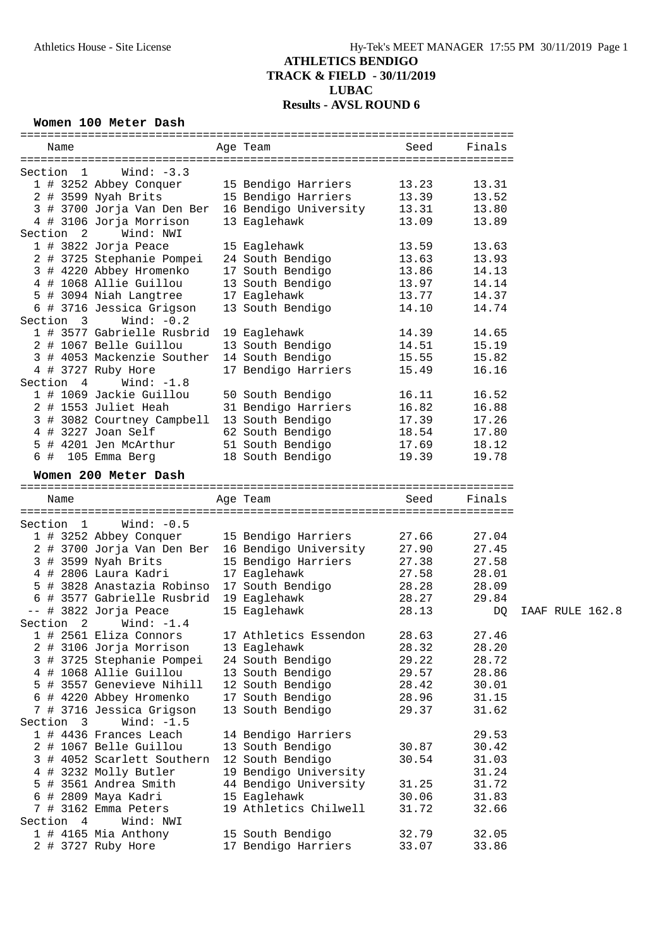#### **Women 100 Meter Dash**

| Name                  |                                             | Age Team and the state of the state of the state of the state of the state of the state of the state of the state of the state of the state of the state of the state of the state of the state of the state of the state of t | Seed           | Finals |
|-----------------------|---------------------------------------------|--------------------------------------------------------------------------------------------------------------------------------------------------------------------------------------------------------------------------------|----------------|--------|
| Section 1             | Wind: -3.3                                  |                                                                                                                                                                                                                                |                |        |
|                       | 1 # 3252 Abbey Conquer                      | 15 Bendigo Harriers                                                                                                                                                                                                            | 13.23          | 13.31  |
|                       | 2 # 3599 Nyah Brits                         | 15 Bendigo Harriers                                                                                                                                                                                                            | 13.39          | 13.52  |
|                       |                                             | 3 # 3700 Jorja Van Den Ber 16 Bendigo University 13.31                                                                                                                                                                         |                | 13.80  |
|                       | 4 # 3106 Jorja Morrison                     | 13 Eaglehawk                                                                                                                                                                                                                   | 13.09          | 13.89  |
| Section 2 Wind: NWI   |                                             |                                                                                                                                                                                                                                |                |        |
| 1 # 3822 Jorja Peace  |                                             |                                                                                                                                                                                                                                |                |        |
|                       |                                             | 15 Eaglehawk                                                                                                                                                                                                                   | 13.59          | 13.63  |
|                       | 2 # 3725 Stephanie Pompei                   | 24 South Bendigo                                                                                                                                                                                                               | 13.63          | 13.93  |
|                       | 3 # 4220 Abbey Hromenko                     | 17 South Bendigo                                                                                                                                                                                                               | 13.86<br>13.97 | 14.13  |
|                       | 4 # 1068 Allie Guillou                      | 13 South Bendigo                                                                                                                                                                                                               |                | 14.14  |
|                       | 5 # 3094 Niah Langtree                      | 17 Eaglehawk                                                                                                                                                                                                                   | 13.77          | 14.37  |
|                       | 6 # 3716 Jessica Grigson                    | 13 South Bendigo                                                                                                                                                                                                               | 14.10          | 14.74  |
|                       | Section $3$ Wind: $-0.2$                    |                                                                                                                                                                                                                                |                |        |
|                       | 1 # 3577 Gabrielle Rusbrid 19 Eaglehawk     |                                                                                                                                                                                                                                | 14.39          | 14.65  |
|                       | 2 # 1067 Belle Guillou                      | 13 South Bendigo                                                                                                                                                                                                               | 14.51          | 15.19  |
|                       | 3 # 4053 Mackenzie Souther                  | 14 South Bendigo                                                                                                                                                                                                               | 15.55          | 15.82  |
| 4 # 3727 Ruby Hore    |                                             | 17 Bendigo Harriers                                                                                                                                                                                                            | 15.49          | 16.16  |
| Section 4             | Wind: $-1.8$                                |                                                                                                                                                                                                                                |                |        |
|                       | 1 # 1069 Jackie Guillou                     | 50 South Bendigo                                                                                                                                                                                                               | 16.11          | 16.52  |
| 2 # 1553 Juliet Heah  |                                             | 31 Bendigo Harriers                                                                                                                                                                                                            | 16.82          | 16.88  |
|                       | 3 # 3082 Courtney Campbell 13 South Bendigo |                                                                                                                                                                                                                                | 17.39          | 17.26  |
| 4 # 3227 Joan Self    |                                             | 62 South Bendigo                                                                                                                                                                                                               | 17.39<br>18.54 | 17.80  |
|                       | 5 # 4201 Jen McArthur                       | 51 South Bendigo                                                                                                                                                                                                               | 17.69          | 18.12  |
|                       | 6 # 105 Emma Berg                           | 18 South Bendigo                                                                                                                                                                                                               | 19.39          | 19.78  |
|                       | Women 200 Meter Dash                        |                                                                                                                                                                                                                                |                |        |
|                       |                                             |                                                                                                                                                                                                                                |                |        |
| Name                  |                                             | Age Team and the state of the state of the state of the state of the state of the state of the state of the state of the state of the state of the state of the state of the state of the state of the state of the state of t | Seed           | Finals |
|                       |                                             |                                                                                                                                                                                                                                |                |        |
| Section 1             | Wind: $-0.5$                                |                                                                                                                                                                                                                                |                |        |
|                       |                                             | 1 # 3252 Abbey Conquer 15 Bendigo Harriers                                                                                                                                                                                     | 27.66          | 27.04  |
|                       |                                             | 2 # 3700 Jorja Van Den Ber 16 Bendigo University 27.90                                                                                                                                                                         |                | 27.45  |
|                       |                                             |                                                                                                                                                                                                                                |                |        |
|                       |                                             |                                                                                                                                                                                                                                | 27.38          | 27.58  |
|                       | 3 # 3599 Nyah Brits<br>4 # 2806 Laura Kadri | 15 Bendigo Harriers                                                                                                                                                                                                            |                | 28.01  |
|                       |                                             | 17 Eaglehawk                                                                                                                                                                                                                   | 27.58          |        |
|                       |                                             | 5 # 3828 Anastazia Robinso 17 South Bendigo                                                                                                                                                                                    | 28.28          | 28.09  |
|                       |                                             | 6 # 3577 Gabrielle Rusbrid 19 Eaglehawk                                                                                                                                                                                        | 28.27          | 29.84  |
| -- # 3822 Jorja Peace |                                             | 15 Eaglehawk                                                                                                                                                                                                                   | 28.13          | DQ     |
|                       | Section $2$ Wind: $-1.4$                    |                                                                                                                                                                                                                                |                |        |
|                       | 1 # 2561 Eliza Connors                      | 17 Athletics Essendon                                                                                                                                                                                                          | 28.63          | 27.46  |
|                       | 2 # 3106 Jorja Morrison                     | 13 Eaglehawk                                                                                                                                                                                                                   | 28.32          | 28.20  |
|                       | 3 # 3725 Stephanie Pompei                   | 24 South Bendigo                                                                                                                                                                                                               | 29.22          | 28.72  |
|                       | 4 # 1068 Allie Guillou                      | 13 South Bendigo                                                                                                                                                                                                               | 29.57          | 28.86  |
|                       | 5 # 3557 Genevieve Nihill                   | 12 South Bendigo                                                                                                                                                                                                               | 28.42          | 30.01  |
|                       | 6 # 4220 Abbey Hromenko                     | 17 South Bendigo                                                                                                                                                                                                               | 28.96          | 31.15  |
|                       | 7 # 3716 Jessica Grigson                    | 13 South Bendigo                                                                                                                                                                                                               | 29.37          | 31.62  |
| Section 3             | Wind: $-1.5$                                |                                                                                                                                                                                                                                |                |        |
|                       | 1 # 4436 Frances Leach                      | 14 Bendigo Harriers                                                                                                                                                                                                            |                | 29.53  |
|                       | 2 # 1067 Belle Guillou                      | 13 South Bendigo                                                                                                                                                                                                               | 30.87          | 30.42  |
|                       | 3 # 4052 Scarlett Southern                  | 12 South Bendigo                                                                                                                                                                                                               | 30.54          | 31.03  |
|                       | 4 # 3232 Molly Butler                       | 19 Bendigo University                                                                                                                                                                                                          |                | 31.24  |
|                       | 5 # 3561 Andrea Smith                       | 44 Bendigo University                                                                                                                                                                                                          | 31.25          | 31.72  |
| 6 # 2809 Maya Kadri   |                                             | 15 Eaglehawk                                                                                                                                                                                                                   | 30.06          | 31.83  |
| 7 # 3162 Emma Peters  |                                             | 19 Athletics Chilwell                                                                                                                                                                                                          | 31.72          | 32.66  |
| Section 4             | Wind: NWI                                   |                                                                                                                                                                                                                                |                |        |
| 1 # 4165 Mia Anthony  |                                             | 15 South Bendigo                                                                                                                                                                                                               | 32.79          | 32.05  |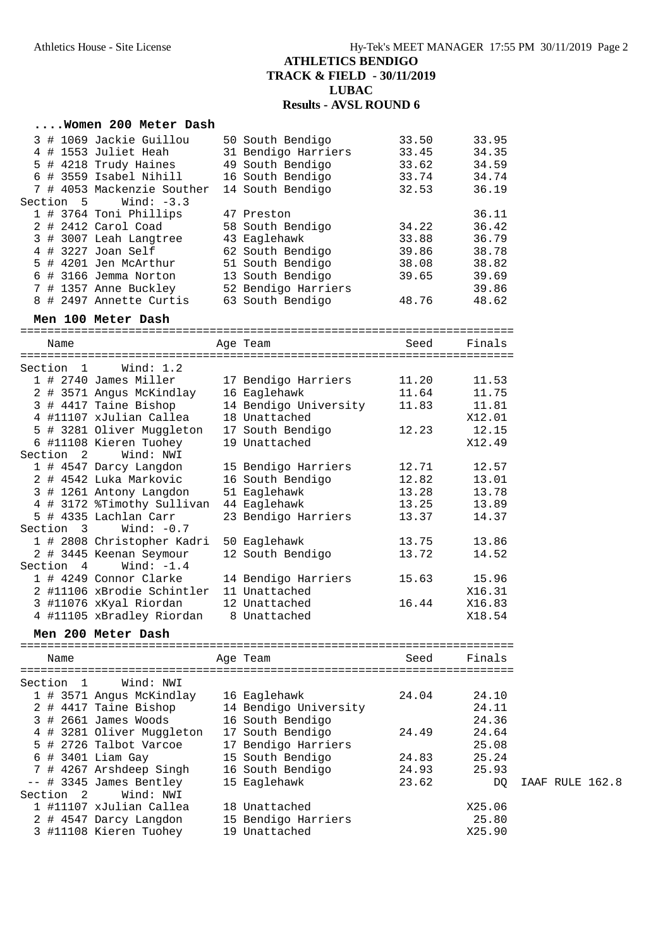#### **....Women 200 Meter Dash**

|  |           | 3 # 1069 Jackie Guillou    | 50 South Bendigo    | 33.50 | 33.95 |
|--|-----------|----------------------------|---------------------|-------|-------|
|  |           | 4 # 1553 Juliet Heah       | 31 Bendigo Harriers | 33.45 | 34.35 |
|  |           | 5 # 4218 Trudy Haines      | 49 South Bendigo    | 33.62 | 34.59 |
|  |           | $6$ # 3559 Isabel Nihill   | 16 South Bendigo    | 33.74 | 34.74 |
|  |           | 7 # 4053 Mackenzie Souther | 14 South Bendigo    | 32.53 | 36.19 |
|  | Section 5 | Wind: $-3.3$               |                     |       |       |
|  |           | 1 # 3764 Toni Phillips     | 47 Preston          |       | 36.11 |
|  |           | 2 # 2412 Carol Coad        | 58 South Bendigo    | 34.22 | 36.42 |
|  |           | 3 # 3007 Leah Langtree     | 43 Eaglehawk        | 33.88 | 36.79 |
|  |           | 4 # 3227 Joan Self         | 62 South Bendigo    | 39.86 | 38.78 |
|  |           | 5 # 4201 Jen McArthur      | 51 South Bendigo    | 38.08 | 38.82 |
|  |           | 6 # 3166 Jemma Norton      | 13 South Bendigo    | 39.65 | 39.69 |
|  |           | 7 # 1357 Anne Buckley      | 52 Bendigo Harriers |       | 39.86 |
|  |           | 8 # 2497 Annette Curtis    | 63 South Bendigo    | 48.76 | 48.62 |

#### **Men 100 Meter Dash**

|           | ----------------------------- |                       |       |        |
|-----------|-------------------------------|-----------------------|-------|--------|
| Name      |                               | Age Team              | Seed  | Finals |
|           |                               |                       |       |        |
| Section 1 | Wind: 1.2                     |                       |       |        |
|           | $1$ # 2740 James Miller       | 17 Bendigo Harriers   | 11.20 | 11.53  |
|           | 2 # 3571 Angus McKindlay      | 16 Eaglehawk          | 11.64 | 11.75  |
|           | 3 # 4417 Taine Bishop         | 14 Bendigo University | 11.83 | 11.81  |
|           | 4 #11107 xJulian Callea       | 18 Unattached         |       | X12.01 |
|           | 5 # 3281 Oliver Muggleton     | 17 South Bendigo      | 12.23 | 12.15  |
|           | 6 #11108 Kieren Tuohey        | 19 Unattached         |       | X12.49 |
| Section 2 | Wind: NWI                     |                       |       |        |
|           | 1 # 4547 Darcy Langdon        | 15 Bendigo Harriers   | 12.71 | 12.57  |
|           | 2 # 4542 Luka Markovic        | 16 South Bendigo      | 12.82 | 13.01  |
|           | 3 # 1261 Antony Langdon       | 51 Eaglehawk          | 13.28 | 13.78  |
|           | 4 # 3172 %Timothy Sullivan    | 44 Eaglehawk          | 13.25 | 13.89  |
|           | 5 # 4335 Lachlan Carr         | 23 Bendigo Harriers   | 13.37 | 14.37  |
|           | Section $3$ Wind: $-0.7$      |                       |       |        |
|           | 1 # 2808 Christopher Kadri    | 50 Eaglehawk          | 13.75 | 13.86  |
|           | 2 # 3445 Keenan Seymour       | 12 South Bendigo      | 13.72 | 14.52  |
| Section 4 | Wind: $-1.4$                  |                       |       |        |
|           | 1 # 4249 Connor Clarke        | 14 Bendigo Harriers   | 15.63 | 15.96  |
|           | 2 #11106 xBrodie Schintler    | 11 Unattached         |       | X16.31 |
|           | 3 #11076 xKyal Riordan        | 12 Unattached         | 16.44 | X16.83 |
|           | 4 #11105 xBradley Riordan     | 8 Unattached          |       | X18.54 |

#### **Men 200 Meter Dash**

========================================================================= Name and Age Team and Seed Finals ========================================================================= Section 1 Wind: NWI 1 # 3571 Angus McKindlay 16 Eaglehawk 24.04 24.10 2 # 4417 Taine Bishop 14 Bendigo University 24.11 3 # 2661 James Woods 16 South Bendigo 24.36 4 # 3281 Oliver Muggleton 17 South Bendigo 24.49 24.64 5 # 2726 Talbot Varcoe 17 Bendigo Harriers 25.08 6 # 3401 Liam Gay 15 South Bendigo 24.83 25.24 7 # 4267 Arshdeep Singh 16 South Bendigo 24.93 25.93 -- # 3345 James Bentley 15 Eaglehawk 23.62 DQ IAAF RULE 162.8 Section 2 Wind: NWI 1 #11107 xJulian Callea 18 Unattached X25.06 2 # 4547 Darcy Langdon 15 Bendigo Harriers 25.80 3 #11108 Kieren Tuohey 19 Unattached X25.90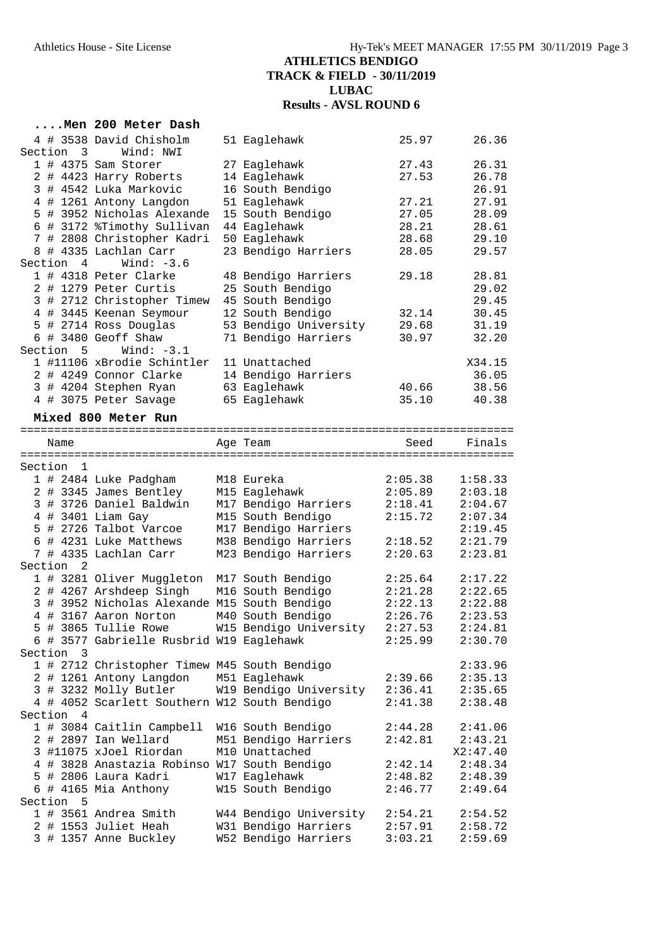|         |                      | Men 200 Meter Dash                                    |                                             |                    |                    |
|---------|----------------------|-------------------------------------------------------|---------------------------------------------|--------------------|--------------------|
|         |                      | 4 # 3538 David Chisholm                               | 51 Eaglehawk                                | 25.97              | 26.36              |
|         | Section 3            | Wind: NWI                                             |                                             |                    |                    |
|         |                      | $1$ # 4375 Sam Storer                                 | 27 Eaglehawk                                | 27.43              | 26.31              |
|         |                      | 2 # 4423 Harry Roberts                                | 14 Eaglehawk                                | 27.53              | 26.78              |
|         |                      | 3 # 4542 Luka Markovic                                | 16 South Bendigo                            |                    | 26.91              |
|         |                      | 4 # 1261 Antony Langdon<br>5 # 3952 Nicholas Alexande | 51 Eaglehawk                                | 27.21              | 27.91<br>28.09     |
|         |                      | 6 # 3172 %Timothy Sullivan                            | 15 South Bendigo<br>44 Eaglehawk            | 27.05<br>28.21     | 28.61              |
|         |                      | 7 # 2808 Christopher Kadri                            | 50 Eaglehawk                                | 28.68              | 29.10              |
|         |                      | 8 # 4335 Lachlan Carr                                 | 23 Bendigo Harriers                         | 28.05              | 29.57              |
|         | Section 4            | Wind: $-3.6$                                          |                                             |                    |                    |
|         |                      | 1 # 4318 Peter Clarke                                 | 48 Bendigo Harriers                         | 29.18              | 28.81              |
|         |                      | 2 # 1279 Peter Curtis                                 | 25 South Bendigo                            |                    | 29.02              |
|         |                      | 3 # 2712 Christopher Timew                            | 45 South Bendigo                            |                    | 29.45              |
|         |                      | 4 # 3445 Keenan Seymour                               | 12 South Bendigo                            | 32.14              | 30.45              |
|         |                      | 5 # 2714 Ross Douglas                                 | 53 Bendigo University                       | 29.68              | 31.19              |
|         |                      | 6 # 3480 Geoff Shaw                                   | 71 Bendigo Harriers                         | 30.97              | 32.20              |
| Section | 5                    | Wind: $-3.1$                                          |                                             |                    |                    |
|         |                      | 1 #11106 xBrodie Schintler                            | 11 Unattached                               |                    | X34.15             |
|         |                      | 2 # 4249 Connor Clarke                                | 14 Bendigo Harriers                         |                    | 36.05              |
|         |                      | 3 # 4204 Stephen Ryan                                 | 63 Eaglehawk                                | 40.66              | 38.56<br>40.38     |
|         |                      | 4 # 3075 Peter Savage                                 | 65 Eaglehawk                                | 35.10              |                    |
|         |                      | Mixed 800 Meter Run                                   |                                             |                    |                    |
|         |                      |                                                       |                                             |                    |                    |
| Name    |                      |                                                       | Age Team                                    | Seed               | Finals             |
|         | Section 1            |                                                       |                                             |                    |                    |
|         |                      | 1 # 2484 Luke Padgham                                 | M18 Eureka                                  | 2:05.38            | 1:58.33            |
|         |                      | 2 # 3345 James Bentley                                | M15 Eaglehawk                               | 2:05.89            | 2:03.18            |
|         |                      | 3 # 3726 Daniel Baldwin                               | M17 Bendigo Harriers                        | 2:18.41            | 2:04.67            |
|         |                      | 4 # 3401 Liam Gay                                     | M15 South Bendigo                           | 2:15.72            | 2:07.34            |
|         |                      | 5 # 2726 Talbot Varcoe                                | M17 Bendigo Harriers                        |                    | 2:19.45            |
|         |                      | 6 # 4231 Luke Matthews                                | M38 Bendigo Harriers                        | 2:18.52            | 2:21.79            |
|         |                      | 7 # 4335 Lachlan Carr                                 | M23 Bendigo Harriers                        | 2:20.63            | 2:23.81            |
|         | Section <sub>2</sub> |                                                       |                                             |                    |                    |
|         |                      | 1 # 3281 Oliver Muggleton                             | M17 South Bendigo                           | 2:25.64            | 2:17.22            |
|         |                      | 2 # 4267 Arshdeep Singh                               | M16 South Bendigo                           | 2:21.28            | 2:22.65            |
|         |                      | 3 # 3952 Nicholas Alexande M15 South Bendigo          |                                             | 2:22.13            | 2:22.88            |
|         |                      | 4 # 3167 Aaron Norton<br>5 # 3865 Tullie Rowe         | M40 South Bendigo<br>W15 Bendigo University | 2:26.76            | 2:23.53<br>2:24.81 |
|         |                      | 6 # 3577 Gabrielle Rusbrid W19 Eaglehawk              |                                             | 2:27.53<br>2:25.99 | 2:30.70            |
|         | Section 3            |                                                       |                                             |                    |                    |
|         |                      | 1 # 2712 Christopher Timew M45 South Bendigo          |                                             |                    | 2:33.96            |
|         |                      | 2 # 1261 Antony Langdon                               | M51 Eaglehawk                               | 2:39.66            | 2:35.13            |
|         |                      | 3 # 3232 Molly Butler                                 | W19 Bendigo University                      | 2:36.41            | 2:35.65            |
|         |                      | 4 # 4052 Scarlett Southern W12 South Bendigo          |                                             | 2:41.38            | 2:38.48            |
| Section | 4                    |                                                       |                                             |                    |                    |
|         |                      | 1 # 3084 Caitlin Campbell                             | W16 South Bendigo                           | 2:44.28            | 2:41.06            |
|         |                      | 2 # 2897 Ian Wellard                                  | M51 Bendigo Harriers                        | 2:42.81            | 2:43.21            |
|         |                      | 3 #11075 xJoel Riordan                                | M10 Unattached                              |                    | X2:47.40           |
|         |                      | 4 # 3828 Anastazia Robinso W17 South Bendigo          |                                             | 2:42.14            | 2:48.34            |
|         |                      | 5 # 2806 Laura Kadri                                  | W17 Eaglehawk                               | 2:48.82            | 2:48.39            |
|         |                      | 6 # 4165 Mia Anthony                                  | W15 South Bendigo                           | 2:46.77            | 2:49.64            |
|         | Section 5            | 1 # 3561 Andrea Smith                                 | W44 Bendigo University                      | 2:54.21            | 2:54.52            |
|         |                      | 2 # 1553 Juliet Heah                                  | W31 Bendigo Harriers                        | 2:57.91            | 2:58.72            |
|         |                      | 3 # 1357 Anne Buckley                                 | W52 Bendigo Harriers                        | 3:03.21            | 2:59.69            |
|         |                      |                                                       |                                             |                    |                    |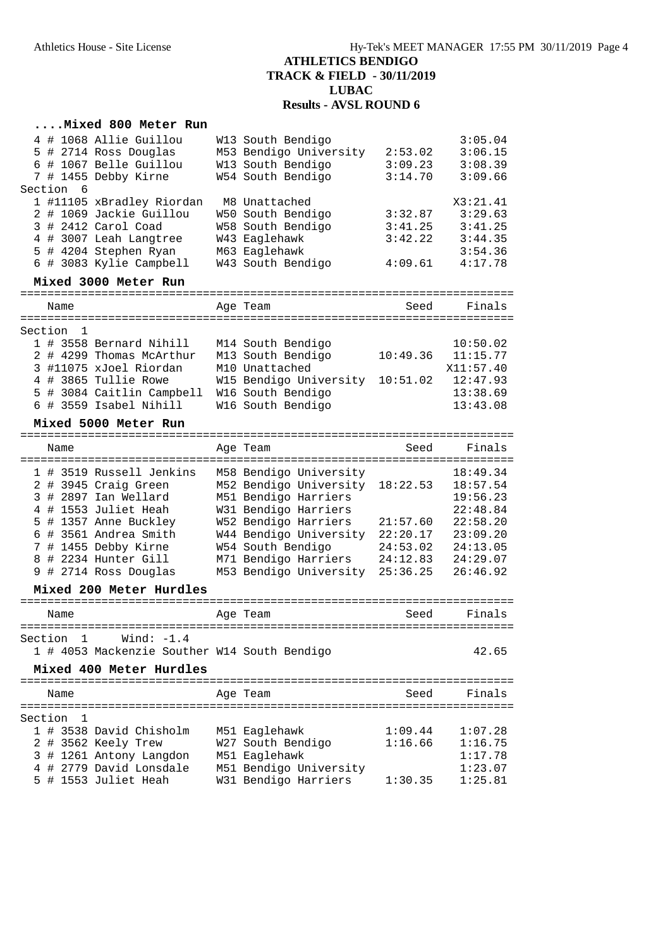### **....Mixed 800 Meter Run**

| 4 # 1068 Allie Guillou                       |          | W13 South Bendigo      |          | 3:05.04                         |
|----------------------------------------------|----------|------------------------|----------|---------------------------------|
| 5 # 2714 Ross Douglas                        |          | M53 Bendigo University | 2:53.02  | 3:06.15                         |
| 6 # 1067 Belle Guillou                       |          | W13 South Bendigo      | 3:09.23  | 3:08.39                         |
| 7 # 1455 Debby Kirne<br>Section 6            |          | W54 South Bendigo      | 3:14.70  | 3:09.66                         |
| 1 #11105 xBradley Riordan                    |          | M8 Unattached          |          | X3:21.41                        |
| 2 # 1069 Jackie Guillou                      |          | W50 South Bendigo      | 3:32.87  | 3:29.63                         |
| 3 # 2412 Carol Coad                          |          | W58 South Bendigo      | 3:41.25  | 3:41.25                         |
| 4 # 3007 Leah Langtree                       |          | W43 Eaglehawk          | 3:42.22  | 3:44.35                         |
| 5 # 4204 Stephen Ryan                        |          | M63 Eaglehawk          |          | 3:54.36                         |
| 6 # 3083 Kylie Campbell                      |          | W43 South Bendigo      | 4:09.61  | 4:17.78                         |
| Mixed 3000 Meter Run                         |          |                        |          |                                 |
| Name                                         | Age Team |                        | Seed     | Finals                          |
|                                              |          |                        |          |                                 |
| Section<br>1<br>1 # 3558 Bernard Nihill      |          | M14 South Bendigo      |          | 10:50.02                        |
| 2 # 4299 Thomas McArthur                     |          | M13 South Bendigo      | 10:49.36 | 11:15.77                        |
| 3 #11075 xJoel Riordan                       |          | M10 Unattached         |          | X11:57.40                       |
| 4 # 3865 Tullie Rowe                         |          | W15 Bendigo University | 10:51.02 | 12:47.93                        |
| 5 # 3084 Caitlin Campbell                    |          | W16 South Bendigo      |          | 13:38.69                        |
| 6 # 3559 Isabel Nihill                       |          | W16 South Bendigo      |          | 13:43.08                        |
|                                              |          |                        |          |                                 |
| Mixed 5000 Meter Run                         |          |                        |          |                                 |
| Name                                         | Age Team |                        | Seed     | Finals                          |
|                                              |          |                        |          |                                 |
| 1 # 3519 Russell Jenkins                     |          | M58 Bendigo University |          | 18:49.34                        |
| 2 # 3945 Craig Green                         |          | M52 Bendigo University | 18:22.53 | 18:57.54                        |
| 3 # 2897 Ian Wellard                         |          | M51 Bendigo Harriers   |          | 19:56.23                        |
| 4 # 1553 Juliet Heah                         |          | W31 Bendigo Harriers   |          | 22:48.84                        |
| 5 # 1357 Anne Buckley                        |          | W52 Bendigo Harriers   | 21:57.60 | 22:58.20                        |
| 6 # 3561 Andrea Smith                        |          | W44 Bendigo University | 22:20.17 | 23:09.20                        |
| 7 # 1455 Debby Kirne                         |          | W54 South Bendigo      | 24:53.02 | 24:13.05                        |
| 8 # 2234 Hunter Gill                         |          | M71 Bendigo Harriers   | 24:12.83 | 24:29.07                        |
| 9 # 2714 Ross Douglas                        |          | M53 Bendigo University | 25:36.25 | 26:46.92                        |
| Mixed 200 Meter Hurdles                      |          |                        |          |                                 |
| Name                                         | Age Team |                        | Seed     | Finals                          |
|                                              |          |                        |          |                                 |
| Section 1 Wind: -1.4                         |          |                        |          |                                 |
| 1 # 4053 Mackenzie Souther W14 South Bendigo |          |                        |          | 42.65                           |
| Mixed 400 Meter Hurdles                      |          |                        |          |                                 |
| ====================================         |          |                        |          | =============================== |
| Name                                         | Age Team |                        | Seed     | Finals                          |
| Section<br>1                                 |          |                        |          |                                 |
| 1 # 3538 David Chisholm                      |          | M51 Eaglehawk          | 1:09.44  | 1:07.28                         |
| # 3562 Keely Trew                            |          | W27 South Bendigo      | 1:16.66  | 1:16.75                         |
| 3 # 1261 Antony Langdon                      |          | M51 Eaglehawk          |          | 1:17.78                         |
| 4 # 2779 David Lonsdale                      |          | M51 Bendigo University |          | 1:23.07                         |
| 5 # 1553 Juliet Heah                         |          | W31 Bendigo Harriers   | 1:30.35  | 1:25.81                         |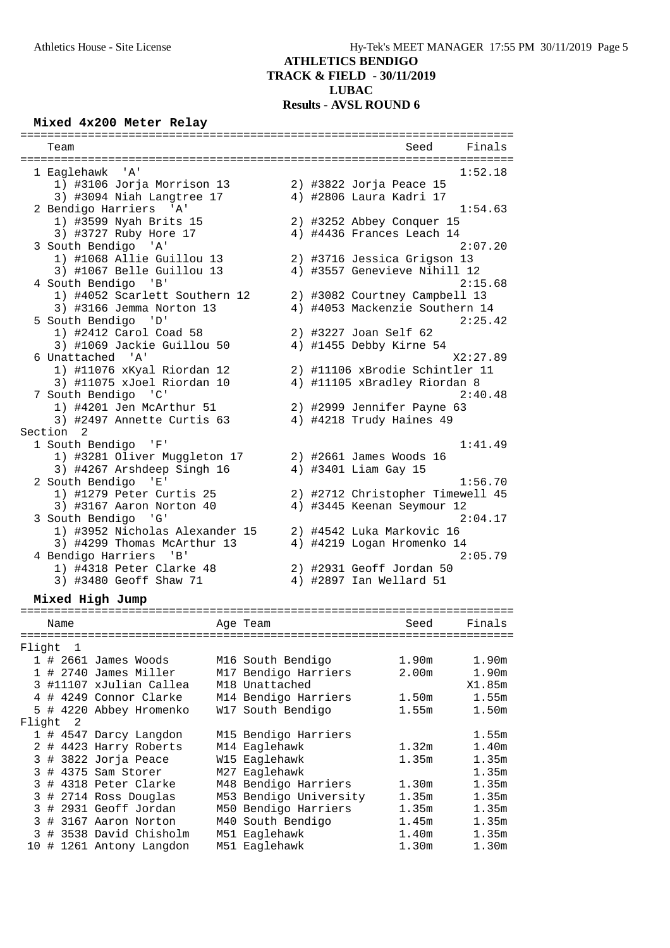#### **Mixed 4x200 Meter Relay**

| Team                             |  | Seed<br>Finals                   |
|----------------------------------|--|----------------------------------|
|                                  |  |                                  |
| 1 Eaglehawk 'A'                  |  | 1:52.18                          |
| 1) #3106 Jorja Morrison 13       |  | 2) #3822 Jorja Peace 15          |
| 3) #3094 Niah Langtree 17        |  | 4) #2806 Laura Kadri 17          |
| 2 Bendigo Harriers 'A'           |  | 1:54.63                          |
| 1) #3599 Nyah Brits 15           |  | 2) #3252 Abbey Conquer 15        |
| 3) #3727 Ruby Hore 17            |  | 4) #4436 Frances Leach 14        |
| 3 South Bendigo 'A'              |  | 2:07.20                          |
| 1) #1068 Allie Guillou 13        |  | 2) #3716 Jessica Grigson 13      |
| 3) #1067 Belle Guillou 13        |  | 4) #3557 Genevieve Nihill 12     |
| 4 South Bendigo 'B'              |  | 2:15.68                          |
| 1) #4052 Scarlett Southern 12    |  | 2) #3082 Courtney Campbell 13    |
| 3) #3166 Jemma Norton 13         |  | 4) #4053 Mackenzie Southern 14   |
| 5 South Bendigo<br>'D'           |  | 2:25.42                          |
| 1) #2412 Carol Coad 58           |  | 2) #3227 Joan Self 62            |
| 3) #1069 Jackie Guillou 50       |  | 4) #1455 Debby Kirne 54          |
| 6 Unattached 'A'                 |  | X2:27.89                         |
| 1) #11076 xKyal Riordan 12       |  | 2) #11106 xBrodie Schintler 11   |
| 3) #11075 xJoel Riordan 10       |  | 4) #11105 xBradley Riordan 8     |
| 7 South Bendigo<br>$\cdot$ ' C ' |  | 2:40.48                          |
| 1) #4201 Jen McArthur 51         |  | 2) #2999 Jennifer Payne 63       |
| 3) #2497 Annette Curtis 63       |  | 4) #4218 Trudy Haines 49         |
| Section 2                        |  |                                  |
| 1 South Bendigo 'F'              |  | 1:41.49                          |
| 1) #3281 Oliver Muggleton 17     |  | 2) #2661 James Woods 16          |
|                                  |  |                                  |
| 3) #4267 Arshdeep Singh 16       |  | 4) #3401 Liam Gay 15             |
| 2 South Bendigo 'E'              |  | 1:56.70                          |
| 1) #1279 Peter Curtis 25         |  | 2) #2712 Christopher Timewell 45 |
| 3) #3167 Aaron Norton 40         |  | 4) #3445 Keenan Seymour 12       |
| 3 South Bendigo 'G'              |  | 2:04.17                          |
| 1) #3952 Nicholas Alexander 15   |  | 2) #4542 Luka Markovic 16        |
| 3) #4299 Thomas McArthur 13      |  | 4) #4219 Logan Hromenko 14       |
| 4 Bendigo Harriers 'B'           |  | 2:05.79                          |
| 1) #4318 Peter Clarke 48         |  | 2) #2931 Geoff Jordan 50         |
| 3) #3480 Geoff Shaw 71           |  | 4) #2897 Ian Wellard 51          |

#### **Mixed High Jump**

========================================================================= Age Team Seed Finals ========================================================================= Flight 1 1 # 2661 James Woods M16 South Bendigo 1.90m 1.90m 1 # 2740 James Miller M17 Bendigo Harriers 2.00m 1.90m 3 #11107 xJulian Callea M18 Unattached X1.85m 4 # 4249 Connor Clarke M14 Bendigo Harriers 1.50m 1.55m 5 # 4220 Abbey Hromenko W17 South Bendigo 1.55m 1.50m Flight 2 1 # 4547 Darcy Langdon M15 Bendigo Harriers 1.55m 2 # 4423 Harry Roberts M14 Eaglehawk 1.32m 1.40m 3 # 3822 Jorja Peace W15 Eaglehawk 1.35m 1.35m 3 # 4375 Sam Storer M27 Eaglehawk 1.35m 3 # 4318 Peter Clarke M48 Bendigo Harriers 1.30m 1.35m 3 # 2714 Ross Douglas M53 Bendigo University 1.35m 1.35m 3 # 2931 Geoff Jordan M50 Bendigo Harriers 1.35m 1.35m 3 # 3167 Aaron Norton M40 South Bendigo 1.45m 1.35m 3 # 3538 David Chisholm M51 Eaglehawk 1.40m 1.35m 10 # 1261 Antony Langdon M51 Eaglehawk 1.30m 1.30m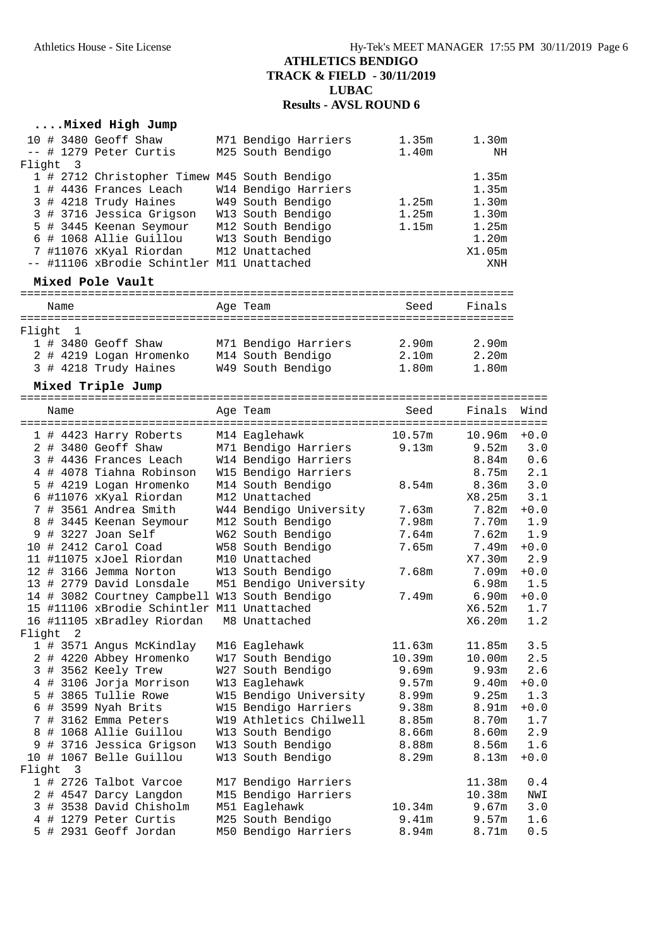### **....Mixed High Jump**

| Flight | $\overline{\phantom{a}}$ | 10 # 3480 Geoff Shaw<br>-- # 1279 Peter Curtis                                                                                                                                                                                                           | M71 Bendigo Harriers<br>M25 South Bendigo                                                                                  | 1.35m<br>1.40m           | 1.30m<br>NH                                                         |                   |
|--------|--------------------------|----------------------------------------------------------------------------------------------------------------------------------------------------------------------------------------------------------------------------------------------------------|----------------------------------------------------------------------------------------------------------------------------|--------------------------|---------------------------------------------------------------------|-------------------|
|        |                          | 1 # 2712 Christopher Timew M45 South Bendigo<br>1 # 4436 Frances Leach<br>3 # 4218 Trudy Haines<br>3 # 3716 Jessica Grigson<br>5 # 3445 Keenan Seymour<br>6 # 1068 Allie Guillou<br>7 #11076 xKyal Riordan<br>-- #11106 xBrodie Schintler M11 Unattached | W14 Bendigo Harriers<br>W49 South Bendigo<br>W13 South Bendigo<br>M12 South Bendigo<br>W13 South Bendigo<br>M12 Unattached | 1.25m<br>1.25m<br>1.15m  | 1.35m<br>1.35m<br>1.30m<br>1.30m<br>1.25m<br>1.20m<br>X1.05m<br>XNH |                   |
|        |                          | Mixed Pole Vault                                                                                                                                                                                                                                         |                                                                                                                            |                          |                                                                     |                   |
|        | Name                     |                                                                                                                                                                                                                                                          | Age Team                                                                                                                   | Seed                     | Finals                                                              |                   |
|        | Flight 1                 |                                                                                                                                                                                                                                                          |                                                                                                                            |                          |                                                                     |                   |
|        |                          | 1 # 3480 Geoff Shaw<br>2 # 4219 Logan Hromenko<br>3 # 4218 Trudy Haines                                                                                                                                                                                  | M71 Bendigo Harriers<br>M14 South Bendigo<br>W49 South Bendigo                                                             | 2.90m<br>2.10m<br>1.80m  | 2.90m<br>2.20m<br>1.80m                                             |                   |
|        |                          | Mixed Triple Jump                                                                                                                                                                                                                                        |                                                                                                                            |                          |                                                                     |                   |
|        | Name                     | --------------                                                                                                                                                                                                                                           | Aqe Team                                                                                                                   | ----------------<br>Seed | Finals                                                              | Wind              |
|        |                          | 1 # 4423 Harry Roberts<br>2 # 3480 Geoff Shaw                                                                                                                                                                                                            | M14 Eaglehawk<br>M71 Bendigo Harriers                                                                                      | 10.57m<br>9.13m          | 10.96m<br>9.52m                                                     | $+0.0$<br>3.0     |
|        |                          | 3 # 4436 Frances Leach<br>4 # 4078 Tiahna Robinson<br>5 # 4219 Logan Hromenko                                                                                                                                                                            | W14 Bendigo Harriers<br>W15 Bendigo Harriers<br>M14 South Bendigo                                                          | 8.54 <sub>m</sub>        | 8.84m<br>8.75m<br>8.36 <sub>m</sub>                                 | 0.6<br>2.1<br>3.0 |
|        |                          | 6 #11076 xKyal Riordan<br>7 # 3561 Andrea Smith                                                                                                                                                                                                          | M12 Unattached<br>W44 Bendigo University                                                                                   | 7.63m                    | X8.25m<br>7.82m                                                     | 3.1<br>$+0.0$     |
| 9      |                          | 8 # 3445 Keenan Seymour<br># 3227 Joan Self                                                                                                                                                                                                              | M12 South Bendigo<br>W62 South Bendigo                                                                                     | 7.98m<br>7.64m           | 7.70m<br>7.62m                                                      | 1.9<br>1.9        |
|        |                          | 10 # 2412 Carol Coad<br>11 #11075 xJoel Riordan                                                                                                                                                                                                          | W58 South Bendigo<br>M10 Unattached                                                                                        | 7.65m                    | 7.49m<br>X7.30m                                                     | $+0.0$<br>2.9     |
|        |                          | 12 # 3166 Jemma Norton<br>13 # 2779 David Lonsdale                                                                                                                                                                                                       | W13 South Bendigo<br>M51 Bendigo University                                                                                | 7.68m                    | 7.09m<br>6.98m                                                      | $+0.0$<br>1.5     |
|        |                          | 14 # 3082 Courtney Campbell W13 South Bendigo                                                                                                                                                                                                            |                                                                                                                            | 7.49m                    | 6.90m                                                               | $+0.0$            |

|  |          | $\pm$ 1 3002 0001 010, 001100011 110 000011 Denoir |                        |                   |                    |        |
|--|----------|----------------------------------------------------|------------------------|-------------------|--------------------|--------|
|  |          | 15 #11106 xBrodie Schintler M11 Unattached         |                        |                   | X6.52m             | 1.7    |
|  |          | 16 #11105 xBradley Riordan M8 Unattached           |                        |                   | X6.20m             | 1.2    |
|  | Flight 2 |                                                    |                        |                   |                    |        |
|  |          | 1 # 3571 Angus McKindlay                           | M16 Eaglehawk          | 11.63m            | 11.85m             | 3.5    |
|  |          | 2 # 4220 Abbey Hromenko                            | W17 South Bendigo      | 10.39m            | 10.00 <sub>m</sub> | 2.5    |
|  |          | 3 # 3562 Keely Trew                                | W27 South Bendigo      | 9.69m             | 9.93m              | 2.6    |
|  |          | 4 # 3106 Jorja Morrison                            | W13 Eaglehawk          | 9.57m             | 9.40m              | $+0.0$ |
|  |          | 5 # 3865 Tullie Rowe                               | W15 Bendigo University | 8.99m             | 9.25m              | 1.3    |
|  |          | 6 # 3599 Nyah Brits                                | W15 Bendigo Harriers   | 9.38m             | 8.91 <sub>m</sub>  | $+0.0$ |
|  |          | 7 # 3162 Emma Peters                               | W19 Athletics Chilwell | 8.85m             | 8.70m              | 1.7    |
|  |          | 8 # 1068 Allie Guillou                             | W13 South Bendigo      | 8.66m             | 8.60m              | 2.9    |
|  |          | 9 # 3716 Jessica Grigson                           | W13 South Bendigo      | 8.88m             | 8.56m              | 1.6    |
|  |          | 10 # 1067 Belle Guillou                            | W13 South Bendigo      | 8.29m             | 8.13m              | $+0.0$ |
|  | Flight 3 |                                                    |                        |                   |                    |        |
|  |          | 1 # 2726 Talbot Varcoe                             | M17 Bendigo Harriers   |                   | 11.38m             | 0.4    |
|  |          | 2 # 4547 Darcy Langdon                             | M15 Bendigo Harriers   |                   | 10.38m             | NWI    |
|  |          | 3 # 3538 David Chisholm                            | M51 Eaglehawk          | 10.34m            | 9.67m              | 3.0    |
|  |          | 4 # 1279 Peter Curtis                              | M25 South Bendigo      | 9.41m             | 9.57m              | 1.6    |
|  |          | 5 # 2931 Geoff Jordan                              | M50 Bendigo Harriers   | 8.94 <sub>m</sub> | 8.71m              | 0.5    |
|  |          |                                                    |                        |                   |                    |        |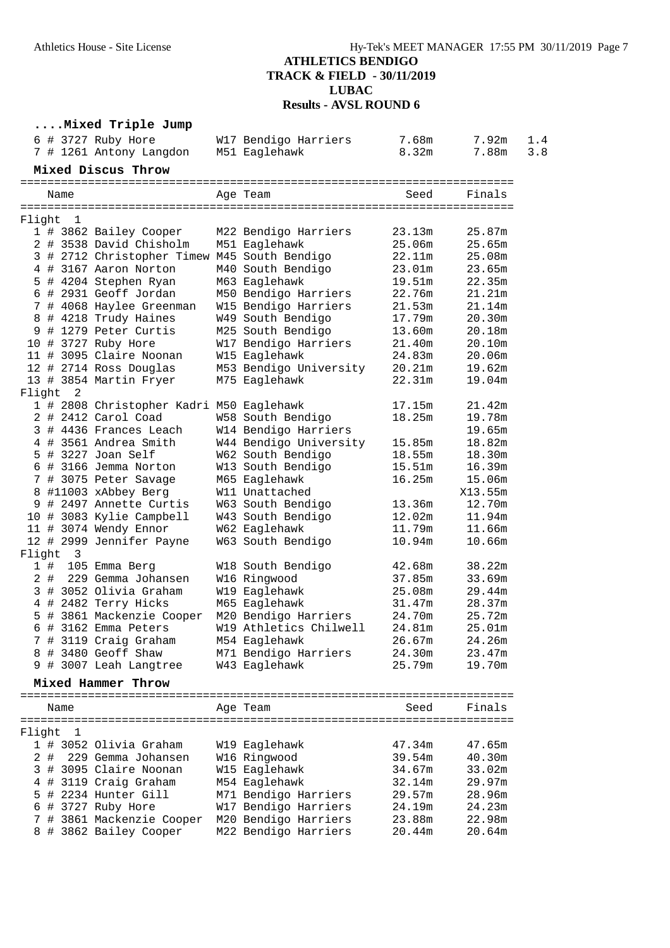#### **....Mixed Triple Jump** 6 # 3727 Ruby Hore W17 Bendigo Harriers 7.68m 7.92m 1.4 7 # 1261 Antony Langdon M51 Eaglehawk 8.32m 7.88m 3.8 **Mixed Discus Throw** ========================================================================= Name Age Team ========================================================================= Flight 1 1 # 3862 Bailey Cooper M22 Bendigo Harriers 23.13m 25.87m 2 # 3538 David Chisholm M51 Eaglehawk 25.06m 25.65m 3 # 2712 Christopher Timew M45 South Bendigo 22.11m 25.08m 4 # 3167 Aaron Norton M40 South Bendigo 23.01m 23.65m 5 # 4204 Stephen Ryan M63 Eaglehawk 19.51m 22.35m 6 # 2931 Geoff Jordan M50 Bendigo Harriers 22.76m 21.21m 7 # 4068 Haylee Greenman W15 Bendigo Harriers 21.53m 21.14m 8 # 4218 Trudy Haines W49 South Bendigo 17.79m 20.30m 9 # 1279 Peter Curtis M25 South Bendigo 13.60m 20.18m 10 # 3727 Ruby Hore W17 Bendigo Harriers 21.40m 20.10m 11 # 3095 Claire Noonan W15 Eaglehawk 24.83m 20.06m 12 # 2714 Ross Douglas M53 Bendigo University 20.21m 19.62m 13 # 3854 Martin Fryer M75 Eaglehawk 22.31m 19.04m Flight 2 1 # 2808 Christopher Kadri M50 Eaglehawk 17.15m 21.42m 2 # 2412 Carol Coad W58 South Bendigo 18.25m 19.78m 3 # 4436 Frances Leach W14 Bendigo Harriers 19.65m 4 # 3561 Andrea Smith W44 Bendigo University 15.85m 18.82m 5 # 3227 Joan Self W62 South Bendigo 18.55m 18.30m 6 # 3166 Jemma Norton W13 South Bendigo 15.51m 16.39m 7 # 3075 Peter Savage M65 Eaglehawk 16.25m 15.06m 8 #11003 xAbbey Berg W11 Unattached X13.55m 9 # 2497 Annette Curtis W63 South Bendigo 13.36m 12.70m 10 # 3083 Kylie Campbell W43 South Bendigo 12.02m 11.94m 11 # 3074 Wendy Ennor W62 Eaglehawk 11.79m 11.66m 12 # 2999 Jennifer Payne W63 South Bendigo 10.94m 10.66m Flight 3 1 # 105 Emma Berg W18 South Bendigo 42.68m 38.22m 2 # 229 Gemma Johansen W16 Ringwood 37.85m 33.69m 3 # 3052 Olivia Graham W19 Eaglehawk 25.08m 29.44m 4 # 2482 Terry Hicks M65 Eaglehawk 31.47m 28.37m 5 # 3861 Mackenzie Cooper M20 Bendigo Harriers 24.70m 25.72m 6 # 3162 Emma Peters W19 Athletics Chilwell 24.81m 25.01m 7 # 3119 Craig Graham M54 Eaglehawk 26.67m 24.26m 8 # 3480 Geoff Shaw M71 Bendigo Harriers 24.30m 23.47m 9 # 3007 Leah Langtree W43 Eaglehawk 25.79m 19.70m **Mixed Hammer Throw** ========================================================================= Age Team Seed Finals ========================================================================= Flight 1 1 # 3052 Olivia Graham W19 Eaglehawk 47.34m 47.65m 2 # 229 Gemma Johansen W16 Ringwood 39.54m 40.30m 3 # 3095 Claire Noonan W15 Eaglehawk 34.67m 33.02m 4 # 3119 Craig Graham M54 Eaglehawk 32.14m 29.97m 5 # 2234 Hunter Gill M71 Bendigo Harriers 29.57m 28.96m 6 # 3727 Ruby Hore W17 Bendigo Harriers 24.19m 24.23m 7 # 3861 Mackenzie Cooper M20 Bendigo Harriers 23.88m 22.98m

8 # 3862 Bailey Cooper M22 Bendigo Harriers 20.44m 20.64m